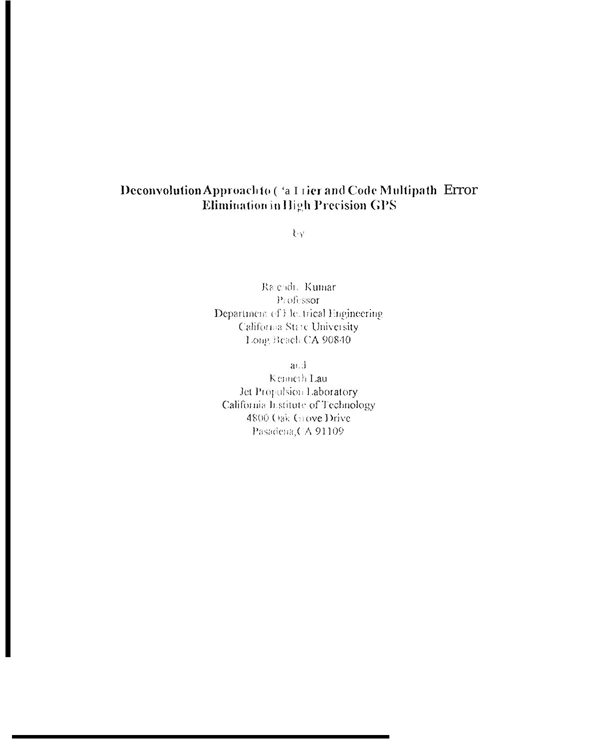# Deconvolution Approachto ('a Lier and Code Multipath Error Elimination in High Precision GPS

tγ.

Rajendre Kumar Professor Department of Electrical Engineering California State University Long Beach CA 90840

 $a \cup d$ 

Kenneth Lau Jet Propulsion Laboratory California Institute of Technology 4800 Oak Grove Drive Pasadena, CA 91109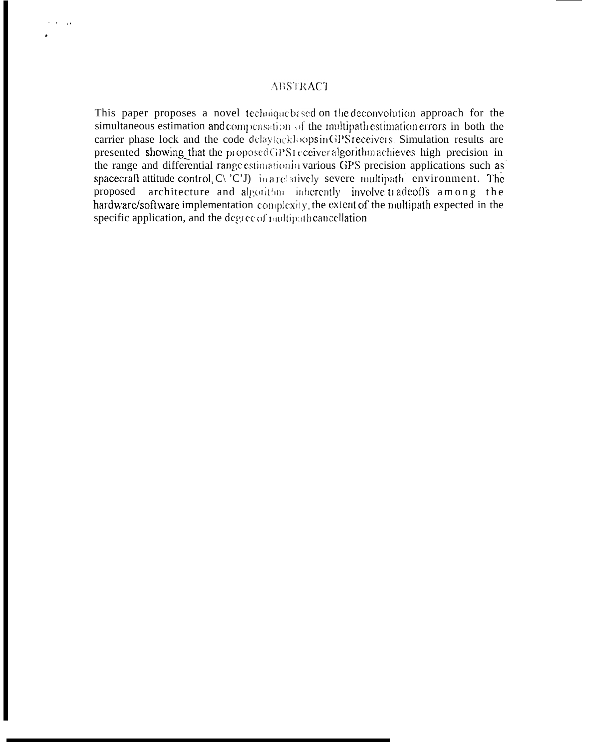# **ABSTRACT**

This paper proposes a novel technique based on the deconvolution approach for the simultaneous estimation and compensation of the multipath estimation errors in both the carrier phase lock and the code delaylockloops in GPS receivers. Simulation results are presented showing that the proposed GPS1 conversed algorithm achieves high precision in the range and differential range estimation in various GPS precision applications such as spacecraft attitude control, C\'C'J) in a relatively severe multipath environment. The architecture and algorithm inherently involve tradeoffs among the proposed hardware/software implementation complexity, the extent of the multipath expected in the specific application, and the degree of multipath cancellation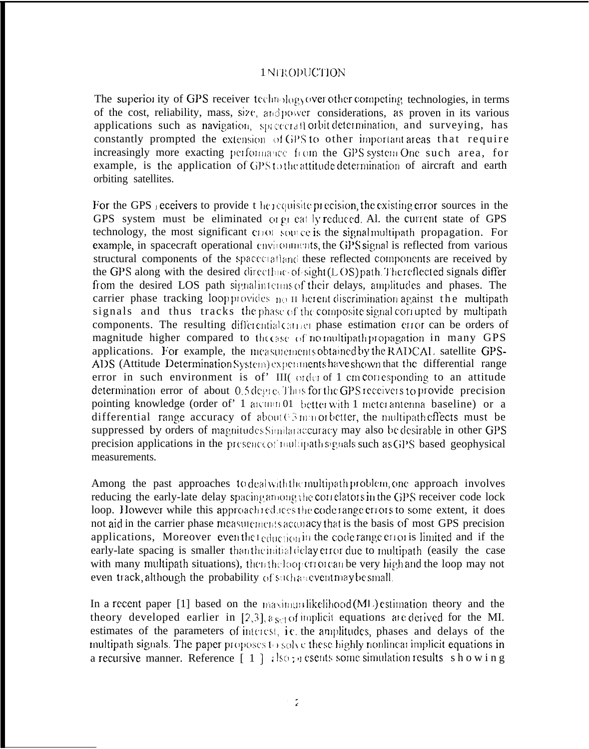# 1 NERODUCTION

The superior ity of GPS receiver technology over other competing technologies, in terms of the cost, reliability, mass, size, and power considerations, as proven in its various applications such as navigation, spacecraft orbit determination, and surveying, has constantly prompted the extension of GPS to other important areas that require increasingly more exacting performance from the GPS system One such area, for example, is the application of GPS to the attitude determination of aircraft and earth orbiting satellites.

For the GPS acceivers to provide the requisite precision, the existing error sources in the GPS system must be eliminated or great ly reduced. Al. the current state of GPS technology, the most significant cross some is the signal multipath propagation. For example, in spacecraft operational environments, the GPS signal is reflected from various structural components of the spacecratiand these reflected components are received by the GPS along with the desired directlare-of-sight $(LOS)$  path. The reflected signals differ from the desired LOS path signal interms of their delays, amplitudes and phases. The carrier phase tracking loop provides  $p_0$  II herent discrimination against the multipath signals and thus tracks the phase of the composite signal correspondent by multipath components. The resulting differential carrier phase estimation error can be orders of magnitude higher compared to the case of no multipath propagation in many GPS applications. For example, the measurements obtained by the RADCAL satellite GPS-ADS (Attitude Determination System) experiments have shown that the differential range error in such environment is of' III( order of 1 cm corresponding to an attitude determination error of about 0.5 degree. Thus for the GPS receivers to provide precision pointing knowledge (order of' 1 arcunin 01 better with 1 meter antenna baseline) or a differential range accuracy of about  $0.5$  mm or better, the multipath effects must be suppressed by orders of magnitudes Similar accuracy may also be desirable in other GPS precision applications in the presence of multipath signals such as GPS based geophysical measurements.

Among the past approaches to deal with the multipath problem, one approach involves reducing the early-late delay spacing among the correlators in the GPS receiver code lock loop. However while this approach reduces the coderange errors to some extent, it does not aid in the carrier phase measurements accuracy that is the basis of most GPS precision applications, Moreover eventheleduction in the code range error is limited and if the early-late spacing is smaller than the initial delay error due to multipath (easily the case with many multipath situations), then the loop errorean be very high and the loop may not even track, although the probability of such an event may be small.

In a recent paper [1] based on the maximum likelihood (ML) estimation theory and the theory developed earlier in [2,3],  $\epsilon_{S}$  of implicit equations are derived for the MI. estimates of the parameters of interest, i.e. the amplitudes, phases and delays of the multipath signals. The paper proposes to solve these highly nonlinear implicit equations in a recursive manner. Reference  $\lceil 1 \rceil$  (so ; g esents some simulation results s h o w i n g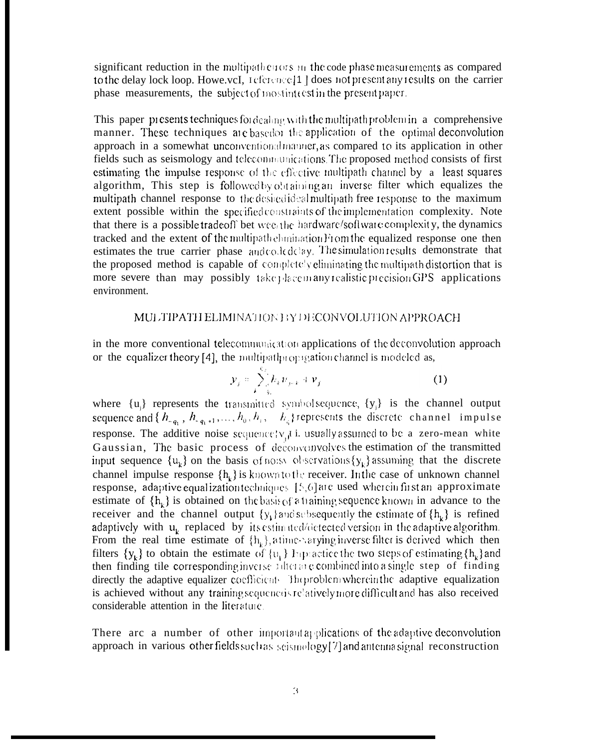significant reduction in the multipather tors  $n_1$  the code phase measurements as compared to the delay lock loop. Howe.vcI, reference [1] does not present any results on the carrier phase measurements, the subject of most interest in the present paper.

This paper presents techniques for dealing with the multipath problem in a comprehensive manner. These techniques are based it the application of the optimal deconvolution approach in a somewhat unconventional manner, as compared to its application in other fields such as seismology and telecommunications. The proposed method consists of first estimating the impulse response of the effective multipath channel by a least squares algorithm, This step is followed by obtaining an inverse filter which equalizes the multipath channel response to the desired ideal multipath free response to the maximum extent possible within the specified constraints of the implementation complexity. Note that there is a possible tradeoff bet wee the hardware/software complexity, the dynamics tracked and the extent of the multipath elumination From the equalized response one then estimates the true carrier phase and coded elay. The simulation results demonstrate that the proposed method is capable of completely eliminating the multipath distortion that is more severe than may possibly take place in any realistic precision GPS applications environment.

#### MULTIPATH ELIMINATION BY DECONVOLUTION APPROACH

in the more conventional telecommunication applications of the deconvolution approach or the equalizer theory [4], the multipath ropagation channel is modeled as,

$$
\mathbf{y}_j = \sum_{k=3}^{N} h_k \mathbf{w}_{j+k} + \mathbf{v}_j \tag{1}
$$

where  $\{u_i\}$  represents the transmitted symbolsequence,  $\{y_i\}$  is the channel output sequence and  $\{h_{-q_1}, h_{-q_1+1},..., h_0, h_1, h_0, h_1, h_0\}$  represents the discrete channel impulse response. The additive noise sequencely,  $\mu$  i. usually assumed to be a zero-mean white Gaussian, The basic process of deconvenyolves the estimation of the transmitted input sequence  $\{u_k\}$  on the basis of noisy observations  $\{y_k\}$  assuming that the discrete channel impulse response  $\{h_k\}$  is known to the receiver. In the case of unknown channel response, adaptive equalization techniques  $[5,6]$  are used wherein first an approximate estimate of  $\{h_{ij}\}\$ is obtained on the basis of a training sequence known in advance to the receiver and the channel output  $\{y_k\}$  and subsequently the estimate of  $\{h_k\}$  is refined adaptively with u<sub>i</sub> replaced by its estimated/detected version in the adaptive algorithm. From the real time estimate of  $\{h_k\}$ , a time varying inverse filter is derived which then filters  $\{y_k\}$  to obtain the estimate of  $\{v_1\}$  Inpractice the two steps of estimating  $\{h_k\}$  and then finding tile corresponding inverse rulter and combined into a single step of finding directly the adaptive equalizer coefficient. The problem wherein the adaptive equalization is achieved without any training sequenceis relatively more difficult and has also received considerable attention in the literature.

There are a number of other important applications of the adaptive deconvolution approach in various other fields such as seismology [7] and antenna signal reconstruction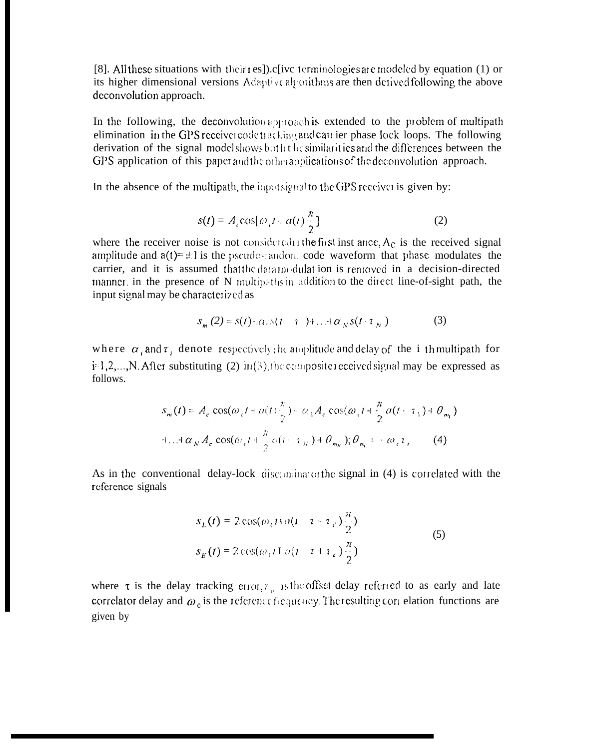[8]. All these situations with their res]) c[ivc terminologies are modeled by equation (1) or its higher dimensional versions Adaptive algorithms are then derived following the above deconvolution approach.

In the following, the deconvolution approach is extended to the problem of multipath elimination in the GPS receiver code tracking and carrier phase lock loops. The following derivation of the signal modelshows both the similarities and the differences between the GPS application of this paper and the other applications of the deconvolution approach.

In the absence of the multipath, the inputsignal to the GPS receiver is given by:

$$
s(t) = A_c \cos[\omega_c t + a(t)\frac{\pi}{2}]
$$
 (2)

where the receiver noise is not considered in the first inst ance,  $A_c$  is the received signal amplitude and  $a(t) = \pm 1$  is the pseudo-sandom code waveform that phase modulates the carrier, and it is assumed that the data modulation is removed in a decision-directed manner, in the presence of N multipathsin addition to the direct line-of-sight path, the input signal may be characterized as

$$
S_m(2) = s(t) \cdot \alpha_r s(t - \tau_1) + \ldots + \alpha_N s(t \cdot \tau_N)
$$
 (3)

where  $\alpha_i$  and  $\tau_i$  denote respectively the amplitude and delay of the i th multipath for i<sup>-1</sup>,2,...,N. After substituting (2) in(3), the composite received signal may be expressed as follows.

$$
s_m(t) = A_c \cos(\omega_c t + a(t)) \frac{x}{2} + \alpha_1 A_c \cos(\omega_c t + \frac{\pi}{2} a(t - \tau_1) + \theta_{m_1})
$$
  
+...+  $\alpha_N A_c \cos(\omega_c t + \frac{\pi}{2} a(t - \tau_N) + \theta_{m_N}), \theta_{m_1} = -\omega_c \tau_i$  (4)

As in the conventional delay-lock discominator the signal in (4) is correlated with the reference signals

$$
s_L(t) = 2\cos(\omega_0 t) a(t - \tau - \tau_c) \frac{\pi}{2}
$$
  

$$
s_E(t) = 2\cos(\omega_0 t) a(t - \tau + \tau_c) \frac{\pi}{2}
$$
 (5)

where  $\tau$  is the delay tracking error,  $\tau_{d}$  is the offset delay referred to as early and late correlator delay and  $\omega_0$  is the reference frequency. The resulting correlation functions are given by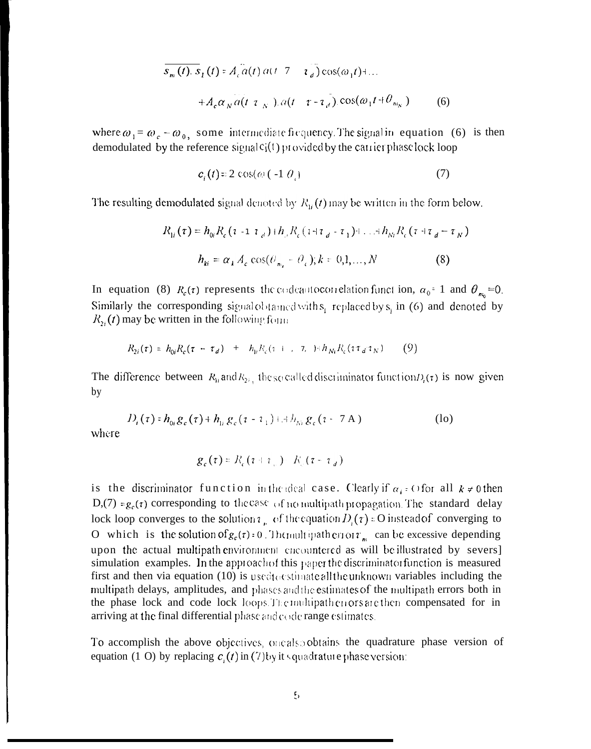$$
\overline{s_m(t)}, \overline{s_1(t)} = A_c \overline{a(t)} \overline{a(t-7)} - \overline{a_d} \csc(\omega_1 t) + ...
$$
  
+ 
$$
A_c \alpha_N \overline{a(t-7)} \cdot \overline{a(t-7)} \cdot \cos(\omega_1 t + \theta_{m_N})
$$
 (6)

where  $\omega_1 = \omega_c - \omega_0$ , some intermediate frequency. The signal in equation (6) is then demodulated by the reference signal  $c_j(t)$  provided by the carrier phase lock loop

$$
c_i(t) = 2\cos(\omega(-1 \theta_i))
$$
 (7)

The resulting demodulated signal denoted by  $R_{\rm h}(t)$  may be written in the form below.

$$
R_{1i}(\tau) = h_{0i} R_c (\tau - \tau_{d}) + h_{d} R_c (\tau + \tau_{d} - \tau_1) + ... + h_{Ni} R_c (\tau + \tau_{d} - \tau_N)
$$
  

$$
h_{ki} = \alpha_k A_c \cos(\theta_{m_i} - \theta_c); k = 0, 1, ..., N
$$
 (8)

In equation (8)  $R_c(\tau)$  represents the codeant occurrelation function,  $\alpha_0 = 1$  and  $\theta_{m_0} = 0$ . Similarly the corresponding signal obtained with  $s_i$  replaced by  $s_i$  in (6) and denoted by  $R_{2i}(t)$  may be written in the following form

$$
R_{2i}(\tau) = h_{0i}R_c(\tau - \tau_d) + h_{1i}R_c(\tau - \tau_c) + h_{Ni}R_c(\tau \tau_d \tau_N)
$$
 (9)

The difference between  $R_{\rm h}$  and  $R_{\rm 24}$ , the so called discriminator function  $D_{\rm t}(\tau)$  is now given by

$$
D_i(\tau) = h_{0i} g_c(\tau) + h_{1i} g_c(\tau - \tau_1) + h_{Ni} g_c(\tau - \tau A)
$$
 (lo)

where

$$
g_c(\tau) = R_c(\tau + \tau_{\perp}) - K_c(\tau - \tau_d)
$$

is the discriminator function in the ideal case. Clearly if  $\alpha_k$  = O for all  $k \neq 0$  then D,(7) =  $g_c(\tau)$  corresponding to the case of no multipath propagation. The standard delay lock loop converges to the solutions, of the equation  $D_i(\tau) = 0$  instead of converging to O which is the solution of  $g_c(\tau)$ : 0. The nultipath error  $r_m$  can be excessive depending upon the actual multipath environment encountered as will be illustrated by severs] simulation examples. In the approach of this paper the discriminator function is measured first and then via equation  $(10)$  is used to estimate all the unknown variables including the multipath delays, amplitudes, and phases and the estimates of the multipath errors both in the phase lock and code lock loops. The multipather cors are then compensated for in arriving at the final differential phase and code range estimates.

To accomplish the above objectives, one also obtains the quadrature phase version of equation (1 O) by replacing  $c(t)$  in (7) by its quadrature phase version: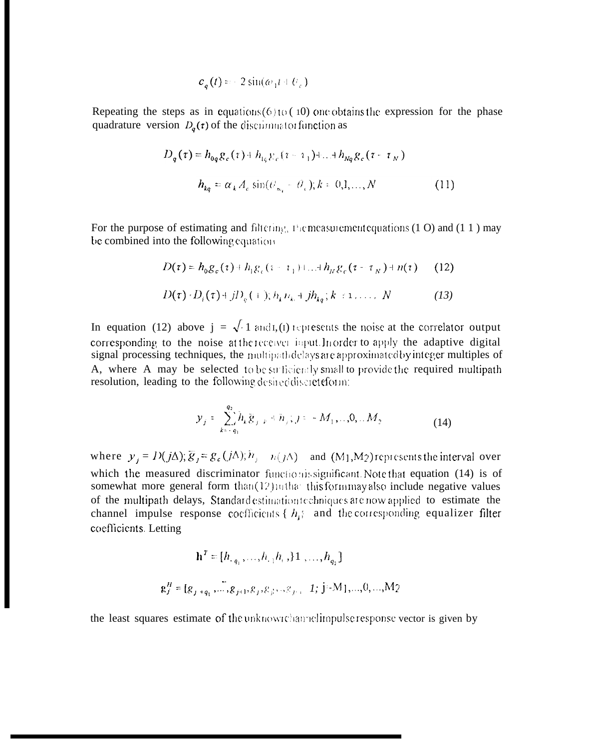$$
c_{\mathfrak{q}}(t) = -2\sin(\omega_1 t + \theta_{\mathfrak{q}})
$$

Repeating the steps as in equations  $(6)$  to  $(10)$  one obtains the expression for the phase quadrature version  $D_{q}(\tau)$  of the discriminator function as

$$
D_q(\tau) = h_{0q} g_c(\tau) + h_{1q} g_c(\tau - \tau_1) + ... + h_{Nq} g_c(\tau - \tau_N)
$$
  

$$
h_{kq} = \alpha_k A_c \sin(\theta_{m_l} - \theta_c); k = 0, 1, ..., N
$$
 (11)

For the purpose of estimating and filtering, the measurement equations  $(1 0)$  and  $(1 1)$  may be combined into the following equation

$$
D(\tau) = h_0 g_c(\tau) + h_1 g_c(\tau - \tau_1) + ... + h_N g_c(\tau - \tau_N) + n(\tau)
$$
 (12)  

$$
D(\tau) \cdot D_i(\tau) + j D_c(\tau) ; h_k u_k + j h_{kj}; k \in \tau, ..., N
$$
 (13)

In equation (12) above  $j = \sqrt{1 \text{ and } I}$ , (1) represents the noise at the correlator output corresponding to the noise at the receiver input. In order to apply the adaptive digital signal processing techniques, the multipathdelays are approximated by integer multiples of A, where A may be selected to be surficiently small to provide the required multipath resolution, leading to the following desired discreteform:

$$
y_j = \sum_{k=-q_1}^{q_2} h_k \tilde{g}_{j-k} + h_j; j = -M_1, ..., 0, ... M_2
$$
 (14)

where  $y_i = D(j\Delta); \overline{g}_i = g_c(j\Delta); \overline{n}_i - n(j\Delta)$  and  $(M_1, M_2)$  represents the interval over which the measured discriminator functionissignificant. Note that equation (14) is of somewhat more general form than(12) mthat this form may also include negative values of the multipath delays, Standard estimation techniques are now applied to estimate the channel impulse response coefficients { $h_i$ } and the corresponding equalizer filter coefficients Letting

$$
\mathbf{h}^{T} = [h_{-q_1}, \dots, h_{-1}h_{+}, \, 1, \dots, h_{q_2}]
$$
\n
$$
\mathbf{g}_{j}^{H} = [g_{j+q_1}, \dots, g_{j+1}, g_{j}, g_{j+1}, g_{j+1}, \dots, h_{j+1}, \dots, 0, \dots, M_{2}]
$$

the least squares estimate of the unknowrchannelimpulse response vector is given by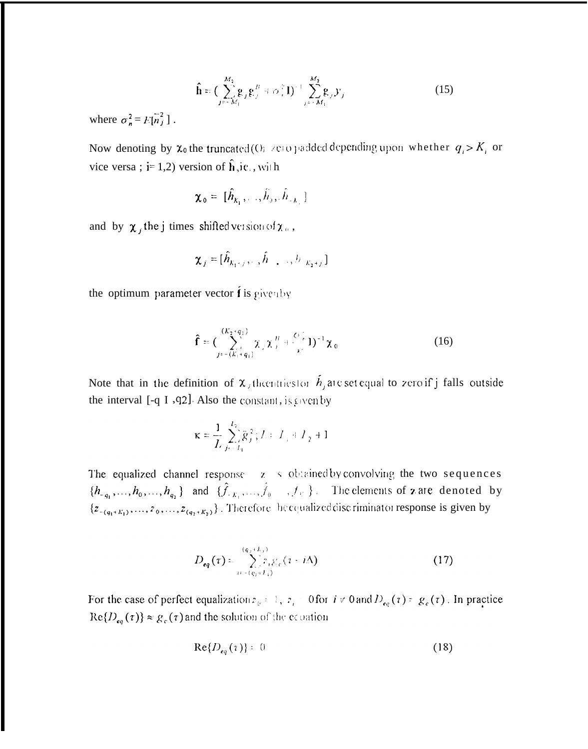$$
\hat{\mathbf{h}} = (\sum_{j=-M_1}^{M_2} \mathbf{g}_{j} \mathbf{g}_{j}^{B} + \sigma_{i}^{2} \mathbf{I})^{+} \sum_{j=-M_1}^{M_2} \mathbf{g}_{j} \mathbf{y}_{j}
$$
(15)

where  $\sigma_n^2 = E[n_j^2]$ .

Now denoting by  $\chi_0$  the truncated (O<sub>i</sub> zero padded depending upon whether  $q_i > K_i$  or vice versa;  $i=1,2$ ) version of  $\hat{h}$ , i.e., with

$$
\boldsymbol{\chi}_0 = [\hat{h}_{k_1}, \ldots, \hat{h}_{0}, \hat{h}_{\cdot,k_1}]
$$

and by  $\chi_j$  the j times shifted version of  $\chi_0$ ,

$$
\boldsymbol{\chi}_j = [\hat{h}_{K_1+j}, \dots, \hat{h}_{i}, \dots, h_{K_2+j}]
$$

the optimum parameter vector  $\vec{\mathbf{f}}$  is given by

$$
\hat{\mathbf{f}} = (\sum_{j=- (K_1 + q_1)}^{(K_2 + q_2)} \chi_{j} \chi_{j}^{B} + \sum_{k=1}^{C} 1)^{-1} \chi_{0}
$$
\n(16)

Note that in the definition of  $\chi_j$  the<br>entriestor  $\hat{h}_j$  are set equal to zero if j falls outside the interval [-q I , q2]. Also the constant, is given by

$$
\kappa = \frac{1}{L} \sum_{j=-L_1}^{L_2} \tilde{g}_j^2; L: L_1 + L_2 + 1
$$

The equalized channel response z s obtained by convolving the two sequences  $\{h_{-q_1},...,h_0,...,h_{q_2}\}\$  and  $\{\hat{f}_{-k_1},...,\hat{f}_{0},...,f_{n_k}\}\$ . The elements of z are denoted by  $\{z_{-(q_1+k_1)},...,z_{0},...,z_{(q_2+k_2)}\}$ . Therefore be equalized disc riminator response is given by

$$
D_{eq}(\tau) = \sum_{i=1}^{\left(q_i + L_i\right)} z_i \, \xi_c \left(1 + i\Delta\right) \tag{17}
$$

For the case of perfect equalization  $z_0 = \frac{1}{2}$ ,  $z_i = 0$  for  $i \neq 0$  and  $D_{eq}(\tau) = g_c(\tau)$ . In practice  $\text{Re}\{D_{eq}(\tau)\}\approx g_c(\tau)$  and the solution of the equation

$$
\operatorname{Re}\{D_{\epsilon q}(i)\} = 0\tag{18}
$$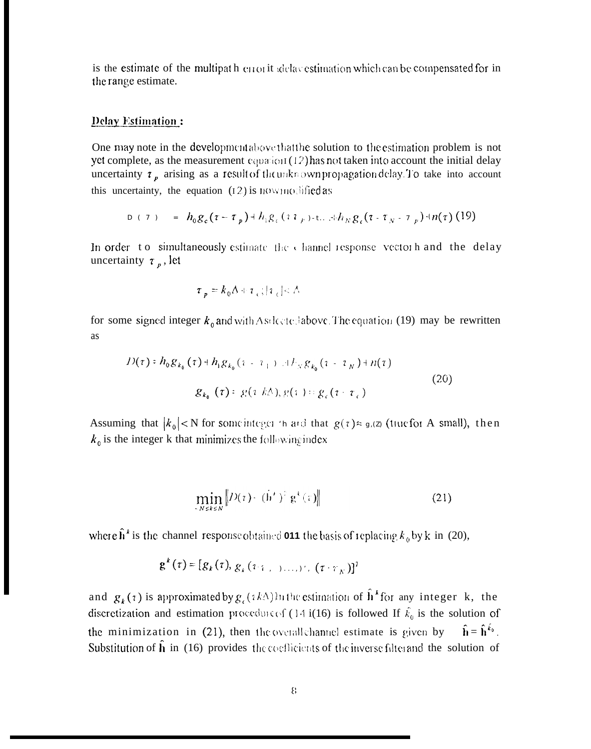is the estimate of the multipath error it idelay estimation which can be compensated for in the range estimate.

# **Delay Estimation:**

One may note in the development above that the solution to the estimation problem is not yet complete, as the measurement  $c_{QV}a_{VQI}(12)$  has not taken into account the initial delay uncertainty  $\tau_p$  arising as a result of the unknown propagation delay. To take into account this uncertainty, the equation  $(12)$  is now modified as

$$
D (7) = h_0 g_c (\tau - \tau_p) + h_1 g_c (1 T_p) - t ... + h_N g_c (\tau - \tau_N - \tau_p) + n(\tau) (19)
$$

In order to simultaneously estimate the channel response vector h and the delay uncertainty  $\tau_p$ , let

$$
\tau_{p} = k_{0} \Delta + \tau_{c} ; | \tau_{c} | < \Delta
$$

for some signed integer  $k_0$  and with Asdcoted above. The equation (19) may be rewritten as

$$
D(\tau) = h_0 g_{k_0}(\tau) + h_1 g_{k_0}(\tau - \tau_+) \quad \text{if } k_S g_{k_0}(\tau - \tau_N) + n(\tau)
$$
\n
$$
g_{k_0}(\tau) = g(\tau \, k\Delta), g(\tau) = g_c(\tau - \tau_c) \tag{20}
$$

Assuming that  $|k_0|$ <N for some integer than d that  $g(\tau) \approx g_0(\tau)$  (true for A small), then  $k_0$  is the integer k that minimizes the following index

$$
\min_{-N \le k \le N} \left\| D(\tau) - (\mathbf{h}^{\prime})^2 \mathbf{g}^k(\tau) \right\| \tag{21}
$$

where  $\hat{\mathbf{h}}^k$  is the channel response obtained **011** the basis of replacing  $k_0$  by k in (20),

$$
\mathbf{g}^k(\tau) = [g_k(\tau), g_k(\tau, \tau_{k-1}), \ldots, \tau_{k}(\tau, \tau_{k})]^T
$$

and  $g_k(\tau)$  is approximated by  $g_{\tau}(ik\Delta)$  in the estimation of  $\hat{h}^k$  for any integer k, the discretization and estimation procedure of (14 i(16) is followed If  $\hat{k}_0$  is the solution of the minimization in (21), then the overall channel estimate is given by  $\hat{\mathbf{h}} = \hat{\mathbf{h}}^{\hat{k}_{0}}$ . Substitution of  $\hat{h}$  in (16) provides the coefficients of the inverse filterand the solution of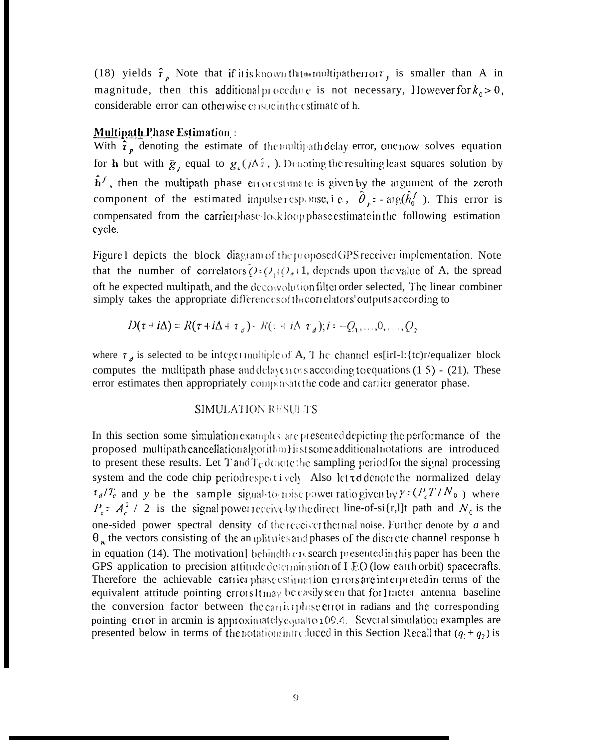(18) yields  $\hat{\tau}_p$  Note that if it is known that nultipather out  $\tau_p$  is smaller than A in magnitude, then this additional procedure is not necessary, However for  $k_0 > 0$ , considerable error can otherwise consuming estimate of h.

### **Multipath Phase Estimation:**

With  $\hat{i}_p$  denoting the estimate of the multipath delay error, one now solves equation for **h** but with  $\bar{g}_i$  equal to  $g_c(i\Delta \hat{i})$ , Denoting the resulting least squares solution by  $\hat{\mathbf{h}}^f$ , then the multipath phase error estimate is given by the argument of the zeroth component of the estimated impulser esponse, i.e.,  $\hat{\theta}_r = \arg(\hat{h}_0^f)$ . This error is compensated from the carrierphase-lockloopphase estimate in the following estimation cycle.

Figure 1 depicts the block diagram of the proposed GPS receiver implementation. Note that the number of correlators  $Q: Q_1(Q_2+1)$ , depends upon the value of A, the spread oft he expected multipath, and the deconvolution filter order selected, The linear combiner simply takes the appropriate differences of the orielators' outputs according to

$$
D(\tau + i\Delta) = R(\tau + i\Delta + \tau_a) - R(\tau + i\Delta \tau_a); i = -Q_1, ..., 0, ..., Q_2
$$

where  $\tau_d$  is selected to be integer multiple of A, T he channel es[irI-1:{tc)r/equalizer block computes the multipath phase and delay cross according to equations  $(1 5)$  -  $(21)$ . These error estimates then appropriately compensate the code and carrier generator phase.

# SIMULATION RESULTS

In this section some simulation examples are presented depicting the performance of the proposed multipath cancellationalgorithm histsome additional notations are introduced to present these results. Let T and  $T<sub>C</sub>$  denote the sampling period for the signal processing system and the code chip periodrespectively. Also let t d denote the normalized delay  $\tau_d/T_c$  and y be the sample signal-to-mise power ratio given by  $\gamma = (P_c T/N_0)$  where  $P_c = A_c^2 / 2$  is the signal power receive by the direct line-of-si{r,1]t path and  $N_0$  is the one-sided power spectral density of the receiver thermal noise. Further denote by a and  $\theta_m$  the vectors consisting of the an iplitudes and phases of the discrete channel response h in equation (14). The motivation] behindthenes search presented in this paper has been the GPS application to precision attitude determination of I EO (low earth orbit) spacecrafts. Therefore the achievable carrier phase estimation errors are interpreted in terms of the equivalent attitude pointing errors1tmay be easily seen that for1 meter antenna baseline the conversion factor between the carrier phase error in radians and the corresponding pointing error in arcmin is approximately equal to 109.4. Several simulation examples are presented below in terms of the notations introduced in this Section Recall that  $(q_1 + q_2)$  is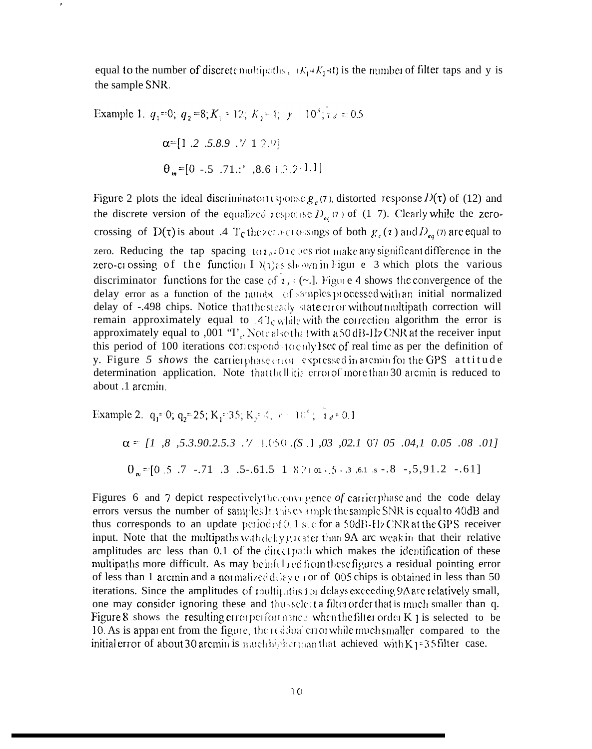equal to the number of discrete multipaths,  $(K_1+K_2+1)$  is the number of filter taps and y is the sample SNR.

Example 1.  $q_1 = 0$ ;  $q_2 = 8$ ;  $K_1 = 12$ ;  $K_2 = 4$ ;  $\gamma = 10^3$ ;  $\gamma_d = 0.5$  $\alpha = [1.2 \t .5.8.9 \t .\t 1 2.9]$  $\theta$  =[0 -.5 .71.:' .8.6 | 3 2 -1.1]

 $\lambda$ 

Figure 2 plots the ideal discriminator exponse  $g_c(7)$ , distorted response  $D(\tau)$  of (12) and the discrete version of the equalized response  $D_{\epsilon_6}(\tau)$  of (1–7). Clearly while the zerocrossing of D( $\tau$ ) is about .4 T<sub>c</sub> the zero-crossings of both  $g_c(\tau)$  and  $D_{eq}(\tau)$  are equal to zero. Reducing the tap spacing  $\{0, 1\}$  and  $\{0, 1\}$  constraint and significant difference in the zero-crossing of the function I  $Y(x)$  as shown in Figur e 3 which plots the various discriminator functions for the case of  $\imath$ ,  $\kappa$  (~...). Figure 4 shows the convergence of the delay error as a function of the number of samples processed with an initial normalized delay of -.498 chips. Notice that the steady state error without multipath correction will remain approximately equal to  $41$ <sub>C</sub> while with the correction algorithm the error is approximately equal to ,001 "I". Note also that with a 50 dB-Hz CNR at the receiver input this period of 100 iterations corresponds to only lsee of real time as per the definition of y. Figure 5 shows the carrier phase error expressed in arcmin for the GPS attitude determination application. Note that the little error of more than 30 arcmin is reduced to about .1 arcmin

Example 2. 
$$
q_1 = 0
$$
;  $q_2 = 25$ ;  $K_1 = 35$ ;  $K_2 = 4$ ;  $y = 10^6$ ;  $7e = 0.1$   
\n $\alpha = [1, 8, 5.3.90.2.5.3] \cdot \sqrt{1.050} \cdot (S.1, 0.03, 0.02.1, 0.07, 0.05, 0.04.1, 0.05, 0.08, 0.01]$   
\n $0_m = [0.5, 7, -0.71, 0.3, 0.5, -0.61.5, 1, 8.2, 0.01, 0.5, 0.3, 0.01, 0.8, -0.5, 9.1, 2, -0.61]$ 

Figures 6 and 7 depict respectively the convagence of carrier phase and the code delay errors versus the number of samples In this example the sample SNR is equal to 40dB and thus corresponds to an update period of 0.1 sec for a 50dB-Hz CNR at the GPS receiver input. Note that the multipaths with delay greater than 9A are weak in that their relative amplitudes arc less than 0.1 of the direct path which makes the identification of these multipaths more difficult. As may be infelled from these figures a residual pointing error of less than 1 arcmin and a normalized delay en or of 0.05 chips is obtained in less than 50 iterations. Since the amplitudes of multipaths for delays exceeding  $9\Lambda$  are relatively small, one may consider ignoring these and thus select a filter order that is much smaller than q. Figure 8 shows the resulting error performance when the filter order  $K_1$  is selected to be 10. As is apparent from the figure, there sidual error while much smaller compared to the initial error of about 30 arcmin is much higher than that achieved with K1=35 filter case.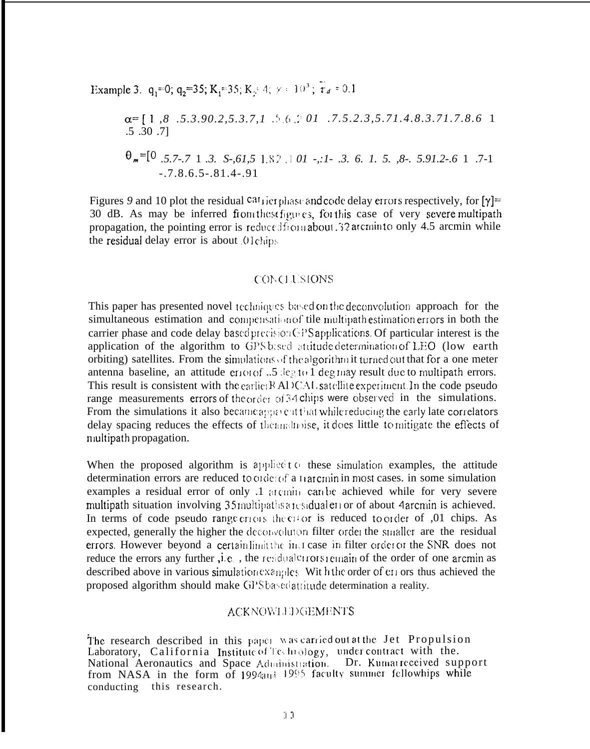Example 3. 
$$
q_1=0
$$
;  $q_2=35$ ;  $K_1=35$ ;  $K_2=4$ ;  $\gamma = 10^5$ ;  $\tau_d = 0.1$   
\n $\alpha = [1, 8, .5.3.90.2, 5.3.7, 1, .5.6.201, .7.5.2.3, 5.71.4.8.3.71.7.8.6 1, .5.30.7]$   
\n $\theta_m=[0, .5.7-.7, 1, .3, .5-.61, 5, 1.82, .101, .11.3, .6. 1, .5. , 8-.5.91.2.6 1, .7-1, .7.8.6.5-.81.4-.91]$ 

Figures 9 and 10 plot the residual  $\text{ca}^t$  rier phase and code delay errors respectively, for  $[\gamma]$ = 30 dB. As may be inferred from these figures, for this case of very severe multipath propagation, the pointing error is reduced from about 32 atomin to only 4.5 arcmin while the residual delay error is about Olchips

#### **CONCLUSIONS**

This paper has presented novel techniques based on the deconvolution approach for the simultaneous estimation and compensation of tile multipathestimation errors in both the carrier phase and code delay based precision GPS applications. Of particular interest is the application of the algorithm to GPS based attitude determination of LEO (low earth orbiting) satellites. From the simulations of the algorithm it turned out that for a one meter antenna baseline, an attitude error of ...5 deg to 1 deg may result due to multipath errors. This result is consistent with the earlier RADCAL satellite experiment. In the code pseudo range measurements errors of the order of 34 chips were observed in the simulations. From the simulations it also became approach that while reducing the early late correlators delay spacing reduces the effects of thermalnoise, it does little to mitigate the effects of multipath propagation.

When the proposed algorithm is applied to these simulation examples, the attitude determination errors are reduced to order of a transmin in most cases, in some simulation examples a residual error of only .1 arcming can be achieved while for very severe multipath situation involving 35 multipaths are sidualer for of about 4 archin is achieved. In terms of code pseudo range criors the citor is reduced to order of ,01 chips. As expected, generally the higher the deconvolution filter order the smaller are the residual errors. However beyond a certain limit the instrusse in filter order or the SNR does not reduce the errors any further, i.e., the residual crossicinain of the order of one arcmin as described above in various simulation examples. Wit hthe order of en ors thus achieved the proposed algorithm should make GPSbasedattitude determination a reality.

### **ACKNOWLEDGEMENTS**

The research described in this paper was carried out at the Jet Propulsion Laboratory, California Institute of Technology, under contract with the. National Aeronautics and Space Administration. Dr. Kumarreceived support from NASA in the form of 1994and 1995 faculty summer fellowhips while conducting this research.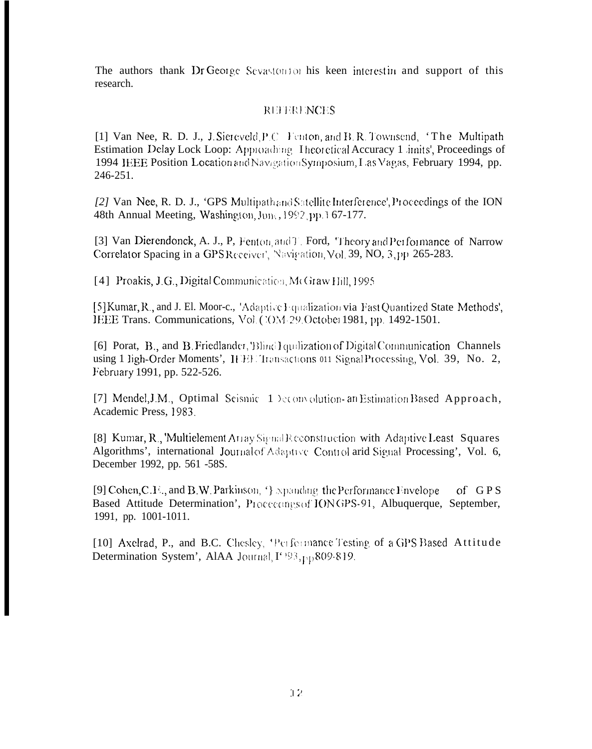The authors thank Dr George Sevastonion his keen interestin and support of this research.

# **REFERENCES**

[1] Van Nee, R. D. J., J. Siercyeld, P.C. Fenton, and B. R. Townsend, 'The Multipath Estimation Delay Lock Loop: Approaching Theoretical Accuracy 1 imits', Proceedings of 1994 IEEE Position Location and Navigation Symposium, Las Vagas, February 1994, pp. 246-251.

[2] Van Nee, R. D. J., 'GPS Multipathand Satellite Interference', Proceedings of the ION 48th Annual Meeting, Washington, June, 1992, pp. 167-177.

[3] Van Dierendonck, A. J., P. Fenton, and T. Ford, Theory and Performance of Narrow Correlator Spacing in a GPSReceiver', Navigation, Vol. 39, NO, 3, pp 265-283.

[4] Proakis, J.G., Digital Communication, McGraw Hill, 1995

[5] Kumar, R., and J. El. Moor-c., 'Adaptive Equalization via Fast Quantized State Methods', IEEE Trans. Communications, Vol. (20M-29 October 1981, pp. 1492-1501.

[6] Porat, B., and B. Friedlander, Blind I quilization of Digital Communication Channels using 1 ligh-Order Moments', IEEE Transactions 011 Signal Processing, Vol. 39, No. 2, February 1991, pp. 522-526.

[7] Mendel, J.M., Optimal Seismic 1 Deconvolution- an Estimation Based Approach, Academic Press, 1983.

[8] Kumar, R., 'Multielement Array Signal Reconstruction with Adaptive Least Squares Algorithms', international Journal of Adaptive Control arid Signal Processing', Vol. 6, December 1992, pp. 561 -58S.

[9] Cohen, C.F., and B.W. Parkinson, '} spanding the Performance Envelope of  $GPS$ Based Attitude Determination', Proceedings of IONGPS-91, Albuquerque, September, 1991, pp. 1001-1011.

[10] Axelrad, P., and B.C. Chesley, 'Performance Testing of a GPS Based Attitude Determination System', AIAA Journal, I' 93, pp 809-819.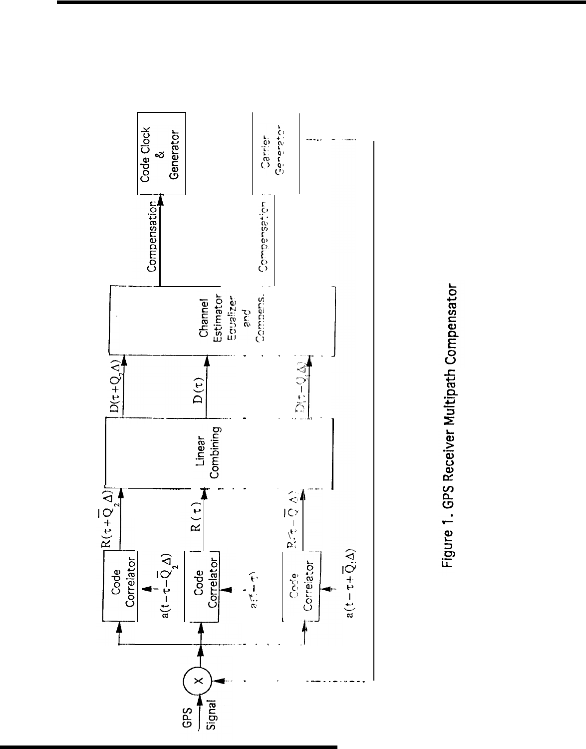

Figure 1. GPS Receiver Multipath Compensator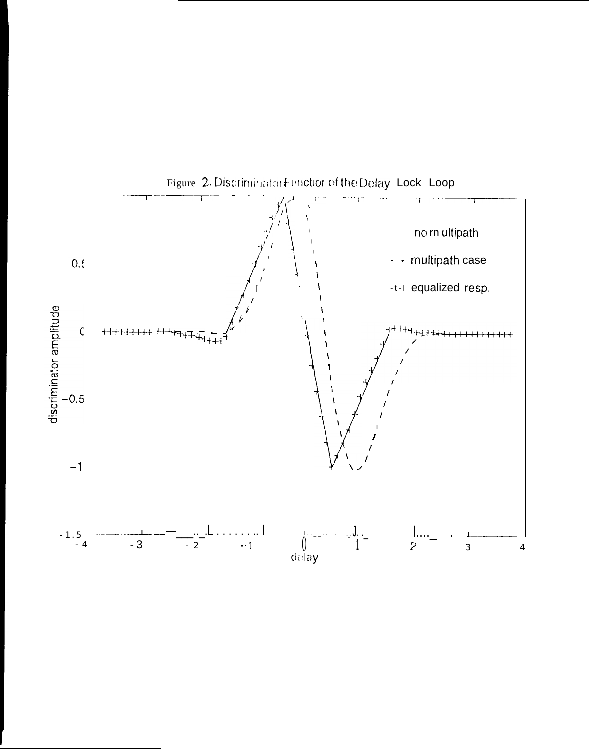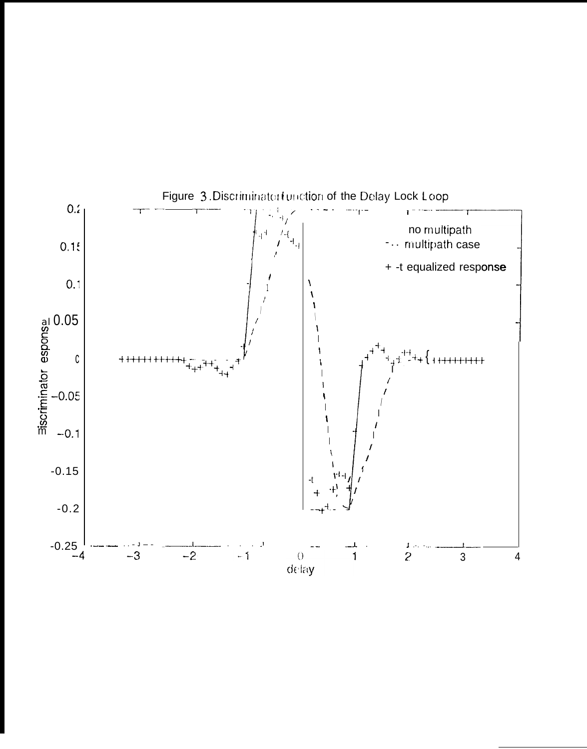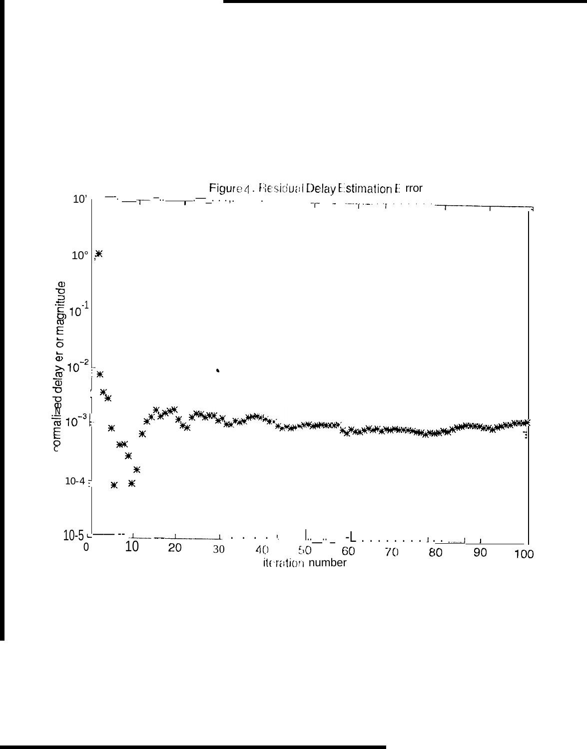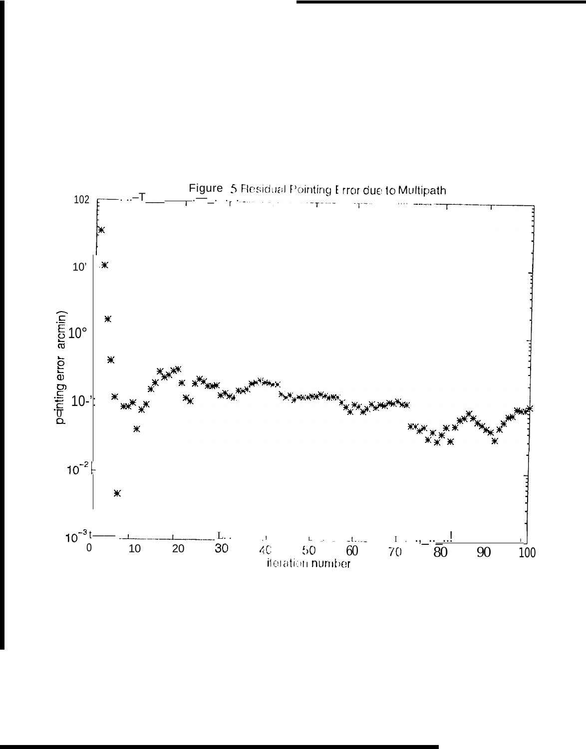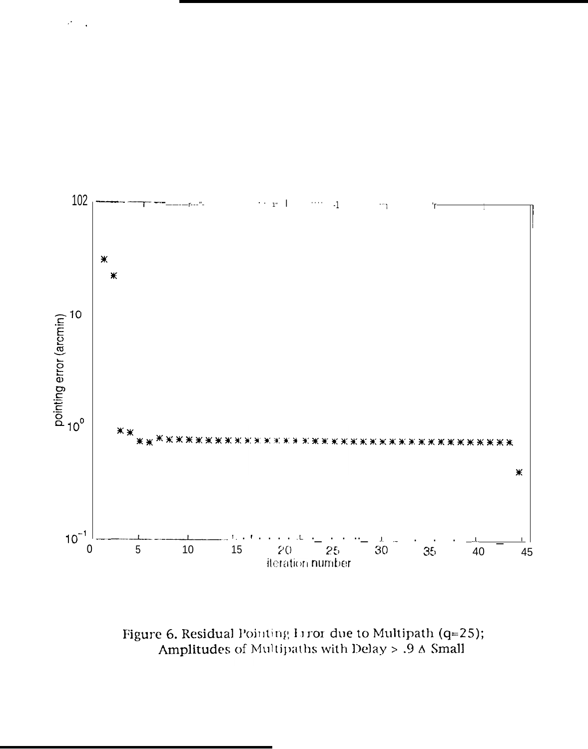

Figure 6. Residual Pointing Liror due to Multipath (q=25); Amplitudes of Multipaths with Delay  $> .9$   $\Delta$  Small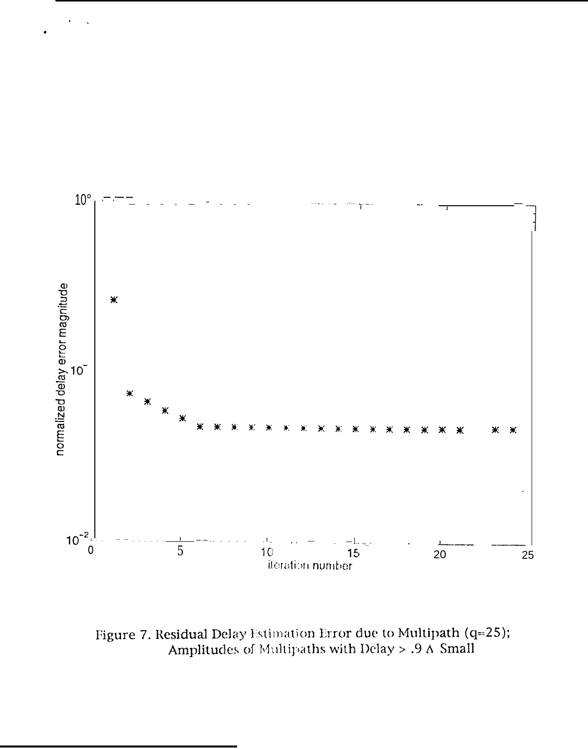

Figure 7. Residual Delay Estimation Error due to Multipath (q=25); Amplitudes of Multipaths with Delay > .9  $\Delta$  Small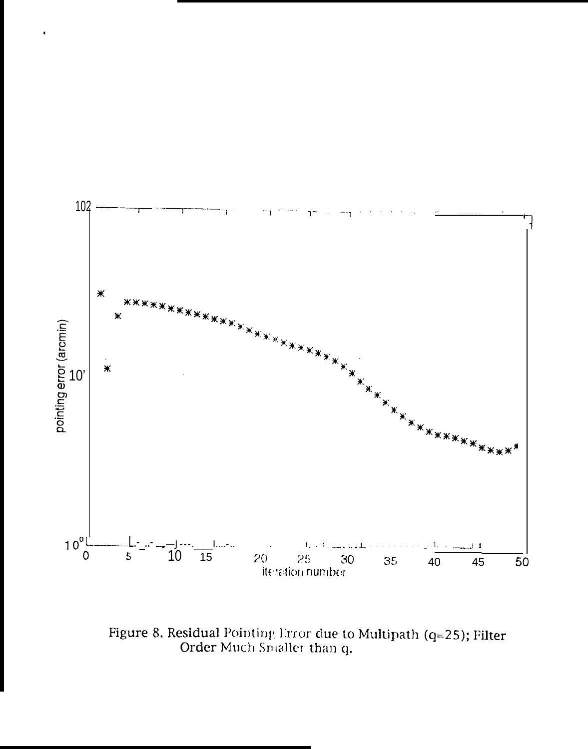

 $\cdot$ 

Figure 8. Residual Pointing Error due to Multipath (q=25); Filter Order Much Smaller than q.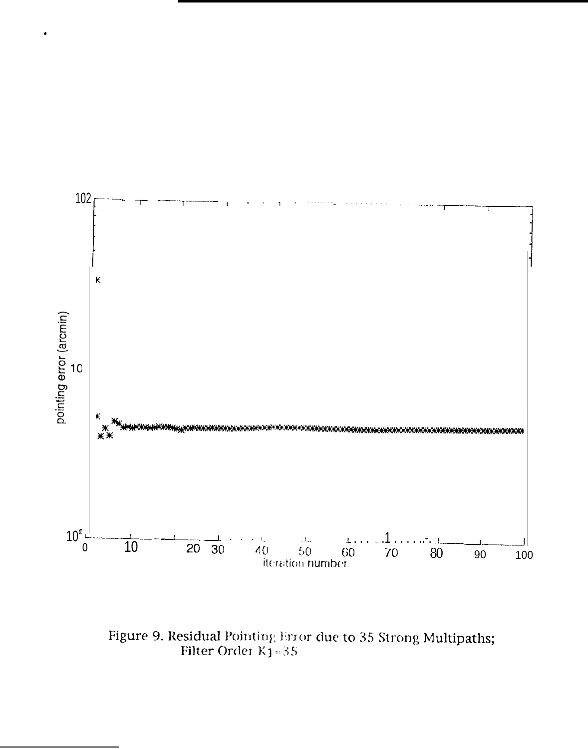

Figure 9. Residual Pointing Error due to 35 Strong Multipaths;<br>Filter Order  $\mathrm{K}1\text{\textendash}35$